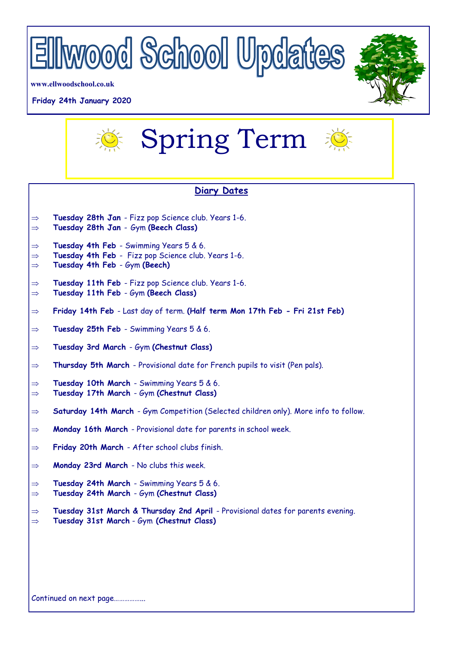

**www.ellwoodschool.co.uk**

## **Friday 24th January 2020**





## **Diary Dates**

- **Tuesday 28th Jan**  Fizz pop Science club. Years 1-6.
- **Tuesday 28th Jan**  Gym **(Beech Class)**
- $\Rightarrow$  Tuesday 4th Feb Swimming Years 5 & 6.
- $\Rightarrow$  Tuesday 4th Feb Fizz pop Science club. Years 1-6.
- **Tuesday 4th Feb**  Gym **(Beech)**
- **Tuesday 11th Feb**  Fizz pop Science club. Years 1-6. **Tuesday 11th Feb** - Gym **(Beech Class)**
- 
- **Friday 14th Feb**  Last day of term. **(Half term Mon 17th Feb - Fri 21st Feb)**
- **Tuesday 25th Feb**  Swimming Years 5 & 6.
- **Tuesday 3rd March**  Gym **(Chestnut Class)**
- $\Rightarrow$  **Thursday 5th March** Provisional date for French pupils to visit (Pen pals).
- **Tuesday 10th March**  Swimming Years 5 & 6.
- **Tuesday 17th March**  Gym **(Chestnut Class)**
- **Saturday 14th March**  Gym Competition (Selected children only). More info to follow.
- **Monday 16th March**  Provisional date for parents in school week.
- **Friday 20th March**  After school clubs finish.
- **Monday 23rd March**  No clubs this week.
- **Tuesday 24th March**  Swimming Years 5 & 6.
- **Tuesday 24th March**  Gym **(Chestnut Class)**
- **Tuesday 31st March & Thursday 2nd April**  Provisional dates for parents evening. **Tuesday 31st March** - Gym **(Chestnut Class)**

Continued on next page……………...